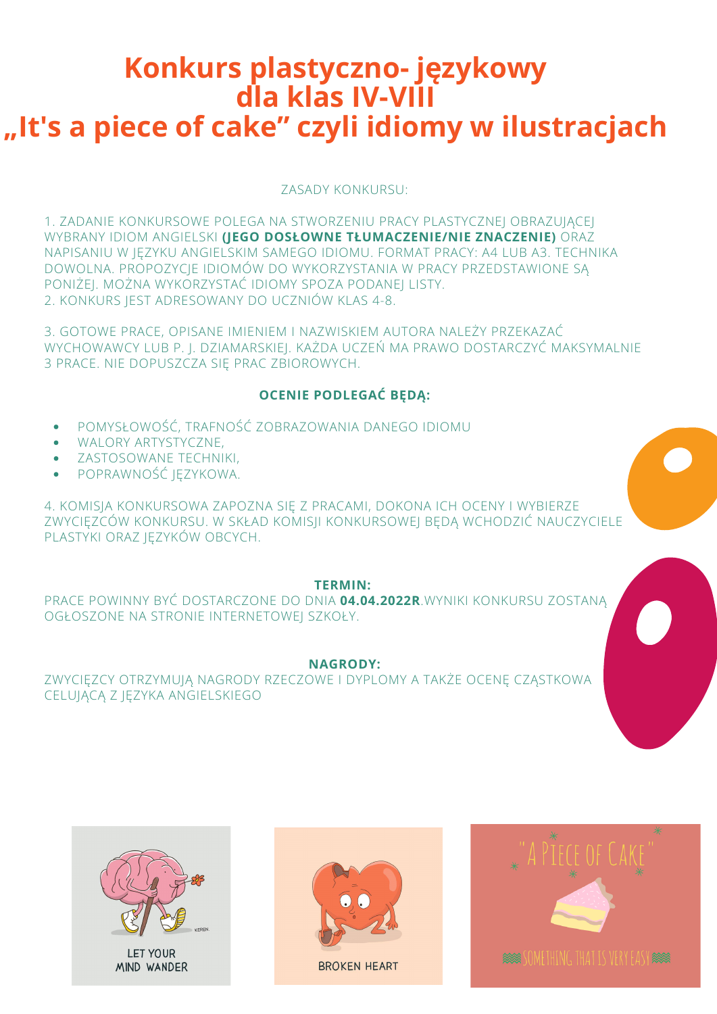# **Konkurs plastyczno- językowy dla klas IV-VIII "It's a piece of cake" czyli idiomy w ilustracjach**

- POMYSŁOWOŚĆ, TRAFNOŚĆ ZOBRAZOWANIA DANEGO IDIOMU
- WALORY ARTYSTYCZNE,
- ZASTOSOWANE TECHNIKI,
- POPRAWNOŚĆ JĘZYKOWA.  $\bullet$

ZASADY KONKURSU:

1. ZADANIE KONKURSOWE POLEGA NA STWORZENIU PRACY PLASTYCZNEJ OBRAZUJĄCEJ WYBRANY IDIOM ANGIELSKI **(JEGO DOSŁOWNE TŁUMACZENIE/NIE ZNACZENIE)** ORAZ NAPISANIU W JĘZYKU ANGIELSKIM SAMEGO IDIOMU. FORMAT PRACY: A4 LUB A3. TECHNIKA DOWOLNA. PROPOZYCJE IDIOMÓW DO WYKORZYSTANIA W PRACY PRZEDSTAWIONE SĄ PONIŻEJ. MOŻNA WYKORZYSTAĆ IDIOMY SPOZA PODANEJ LISTY. 2. KONKURS JEST ADRESOWANY DO UCZNIÓW KLAS 4-8.

3. GOTOWE PRACE, OPISANE IMIENIEM I NAZWISKIEM AUTORA NALEŻY PRZEKAZAĆ WYCHOWAWCY LUB P. J. DZIAMARSKIEJ. KAŻDA UCZEŃ MA PRAWO DOSTARCZYĆ MAKSYMALNIE 3 PRACE. NIE DOPUSZCZA SIĘ PRAC ZBIOROWYCH.

### **OCENIE PODLEGAĆ BĘDĄ:**

4. KOMISJA KONKURSOWA ZAPOZNA SIĘ Z PRACAMI, DOKONA ICH OCENY I WYBIERZE ZWYCIĘZCÓW KONKURSU. W SKŁAD KOMISJI KONKURSOWEJ BĘDĄ WCHODZIĆ NAUCZYCIELE PLASTYKI ORAZ JĘZYKÓW OBCYCH.



#### **TERMIN:**

#### PRACE POWINNY BYĆ DOSTARCZONE DO DNIA **04.04.2022R**.WYNIKI KONKURSU ZOSTANĄ OGŁOSZONE NA STRONIE INTERNETOWEJ SZKOŁY.

#### **NAGRODY:**

#### ZWYCIĘZCY OTRZYMUJĄ NAGRODY RZECZOWE I DYPLOMY A TAKŻE OCENĘ CZĄSTKOWA CELUJĄCĄ Z JĘZYKA ANGIELSKIEGO